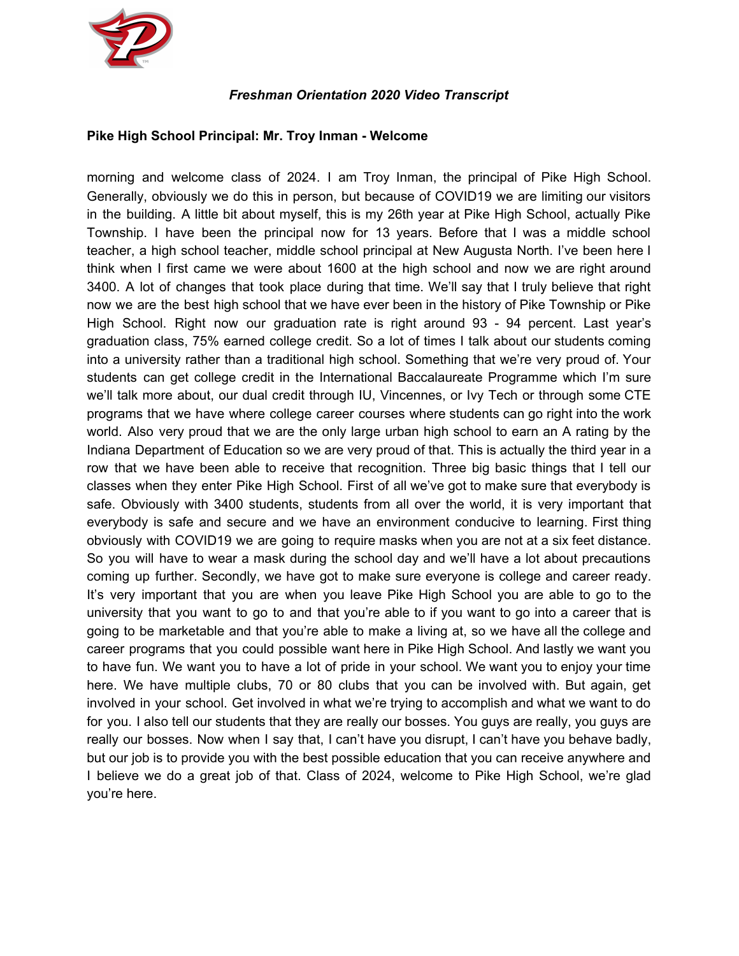

## *Freshman Orientation 2020 Video Transcript*

#### **Pike High School Principal: Mr. Troy Inman - Welcome**

morning and welcome class of 2024. I am Troy Inman, the principal of Pike High School. Generally, obviously we do this in person, but because of COVID19 we are limiting our visitors in the building. A little bit about myself, this is my 26th year at Pike High School, actually Pike Township. I have been the principal now for 13 years. Before that I was a middle school teacher, a high school teacher, middle school principal at New Augusta North. I've been here I think when I first came we were about 1600 at the high school and now we are right around 3400. A lot of changes that took place during that time. We'll say that I truly believe that right now we are the best high school that we have ever been in the history of Pike Township or Pike High School. Right now our graduation rate is right around 93 - 94 percent. Last year's graduation class, 75% earned college credit. So a lot of times I talk about our students coming into a university rather than a traditional high school. Something that we're very proud of. Your students can get college credit in the International Baccalaureate Programme which I'm sure we'll talk more about, our dual credit through IU, Vincennes, or Ivy Tech or through some CTE programs that we have where college career courses where students can go right into the work world. Also very proud that we are the only large urban high school to earn an A rating by the Indiana Department of Education so we are very proud of that. This is actually the third year in a row that we have been able to receive that recognition. Three big basic things that I tell our classes when they enter Pike High School. First of all we've got to make sure that everybody is safe. Obviously with 3400 students, students from all over the world, it is very important that everybody is safe and secure and we have an environment conducive to learning. First thing obviously with COVID19 we are going to require masks when you are not at a six feet distance. So you will have to wear a mask during the school day and we'll have a lot about precautions coming up further. Secondly, we have got to make sure everyone is college and career ready. It's very important that you are when you leave Pike High School you are able to go to the university that you want to go to and that you're able to if you want to go into a career that is going to be marketable and that you're able to make a living at, so we have all the college and career programs that you could possible want here in Pike High School. And lastly we want you to have fun. We want you to have a lot of pride in your school. We want you to enjoy your time here. We have multiple clubs, 70 or 80 clubs that you can be involved with. But again, get involved in your school. Get involved in what we're trying to accomplish and what we want to do for you. I also tell our students that they are really our bosses. You guys are really, you guys are really our bosses. Now when I say that, I can't have you disrupt, I can't have you behave badly, but our job is to provide you with the best possible education that you can receive anywhere and I believe we do a great job of that. Class of 2024, welcome to Pike High School, we're glad you're here.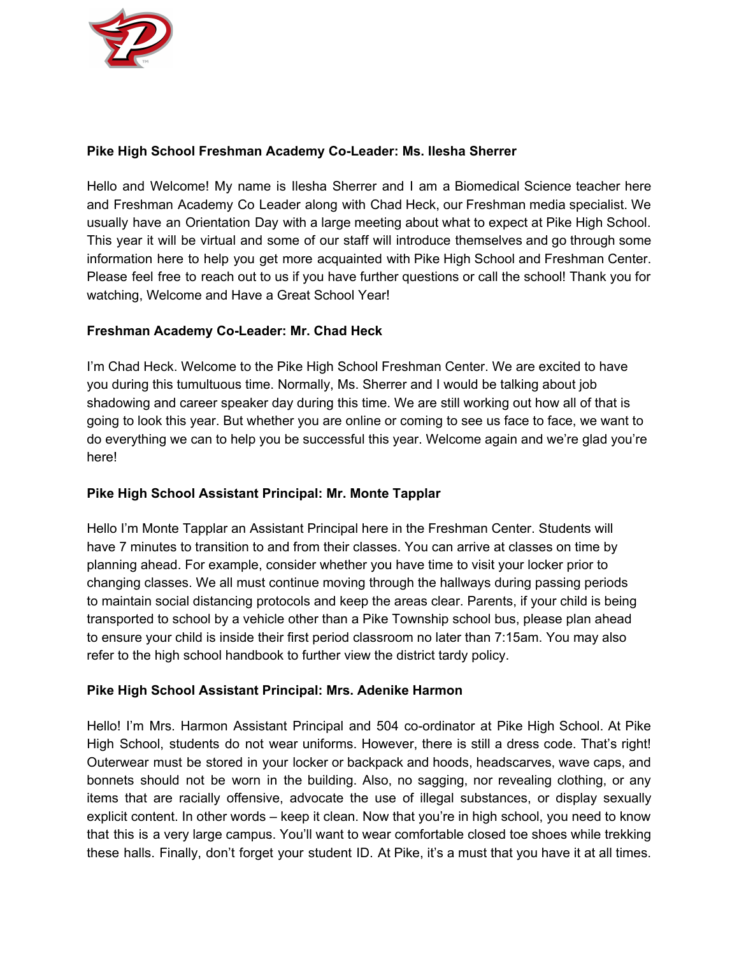

## **Pike High School Freshman Academy Co-Leader: Ms. Ilesha Sherrer**

Hello and Welcome! My name is Ilesha Sherrer and I am a Biomedical Science teacher here and Freshman Academy Co Leader along with Chad Heck, our Freshman media specialist. We usually have an Orientation Day with a large meeting about what to expect at Pike High School. This year it will be virtual and some of our staff will introduce themselves and go through some information here to help you get more acquainted with Pike High School and Freshman Center. Please feel free to reach out to us if you have further questions or call the school! Thank you for watching, Welcome and Have a Great School Year!

# **Freshman Academy Co-Leader: Mr. Chad Heck**

I'm Chad Heck. Welcome to the Pike High School Freshman Center. We are excited to have you during this tumultuous time. Normally, Ms. Sherrer and I would be talking about job shadowing and career speaker day during this time. We are still working out how all of that is going to look this year. But whether you are online or coming to see us face to face, we want to do everything we can to help you be successful this year. Welcome again and we're glad you're here!

## **Pike High School Assistant Principal: Mr. Monte Tapplar**

Hello I'm Monte Tapplar an Assistant Principal here in the Freshman Center. Students will have 7 minutes to transition to and from their classes. You can arrive at classes on time by planning ahead. For example, consider whether you have time to visit your locker prior to changing classes. We all must continue moving through the hallways during passing periods to maintain social distancing protocols and keep the areas clear. Parents, if your child is being transported to school by a vehicle other than a Pike Township school bus, please plan ahead to ensure your child is inside their first period classroom no later than 7:15am. You may also refer to the high school handbook to further view the district tardy policy.

## **Pike High School Assistant Principal: Mrs. Adenike Harmon**

Hello! I'm Mrs. Harmon Assistant Principal and 504 co-ordinator at Pike High School. At Pike High School, students do not wear uniforms. However, there is still a dress code. That's right! Outerwear must be stored in your locker or backpack and hoods, headscarves, wave caps, and bonnets should not be worn in the building. Also, no sagging, nor revealing clothing, or any items that are racially offensive, advocate the use of illegal substances, or display sexually explicit content. In other words – keep it clean. Now that you're in high school, you need to know that this is a very large campus. You'll want to wear comfortable closed toe shoes while trekking these halls. Finally, don't forget your student ID. At Pike, it's a must that you have it at all times.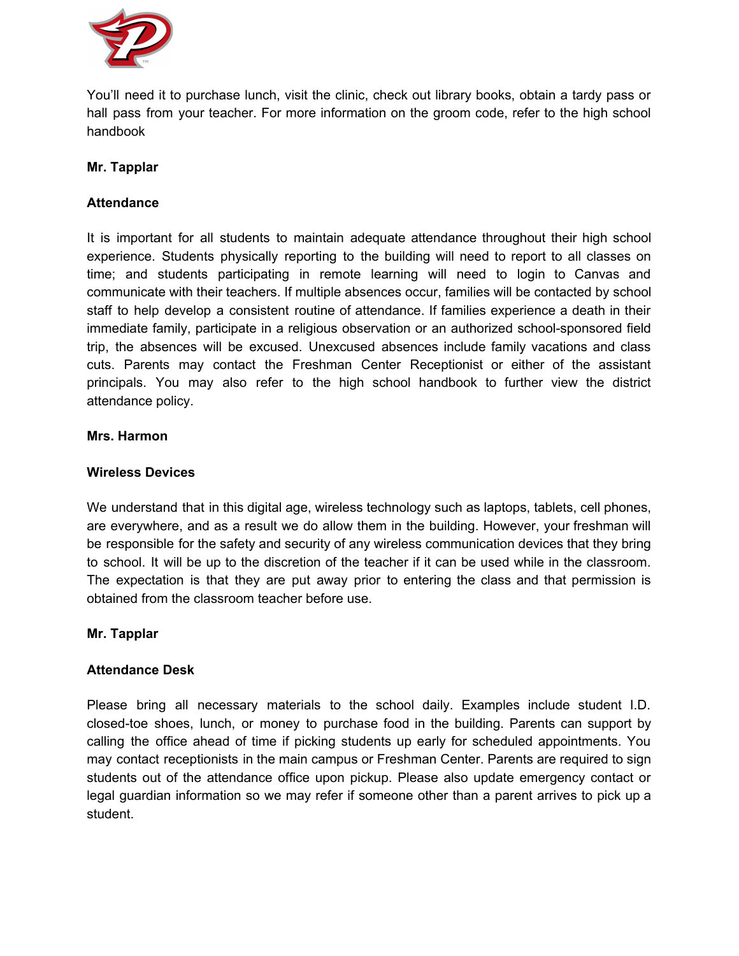

You'll need it to purchase lunch, visit the clinic, check out library books, obtain a tardy pass or hall pass from your teacher. For more information on the groom code, refer to the high school handbook

## **Mr. Tapplar**

# **Attendance**

It is important for all students to maintain adequate attendance throughout their high school experience. Students physically reporting to the building will need to report to all classes on time; and students participating in remote learning will need to login to Canvas and communicate with their teachers. If multiple absences occur, families will be contacted by school staff to help develop a consistent routine of attendance. If families experience a death in their immediate family, participate in a religious observation or an authorized school-sponsored field trip, the absences will be excused. Unexcused absences include family vacations and class cuts. Parents may contact the Freshman Center Receptionist or either of the assistant principals. You may also refer to the high school handbook to further view the district attendance policy.

#### **Mrs. Harmon**

#### **Wireless Devices**

We understand that in this digital age, wireless technology such as laptops, tablets, cell phones, are everywhere, and as a result we do allow them in the building. However, your freshman will be responsible for the safety and security of any wireless communication devices that they bring to school. It will be up to the discretion of the teacher if it can be used while in the classroom. The expectation is that they are put away prior to entering the class and that permission is obtained from the classroom teacher before use.

## **Mr. Tapplar**

## **Attendance Desk**

Please bring all necessary materials to the school daily. Examples include student I.D. closed-toe shoes, lunch, or money to purchase food in the building. Parents can support by calling the office ahead of time if picking students up early for scheduled appointments. You may contact receptionists in the main campus or Freshman Center. Parents are required to sign students out of the attendance office upon pickup. Please also update emergency contact or legal guardian information so we may refer if someone other than a parent arrives to pick up a student.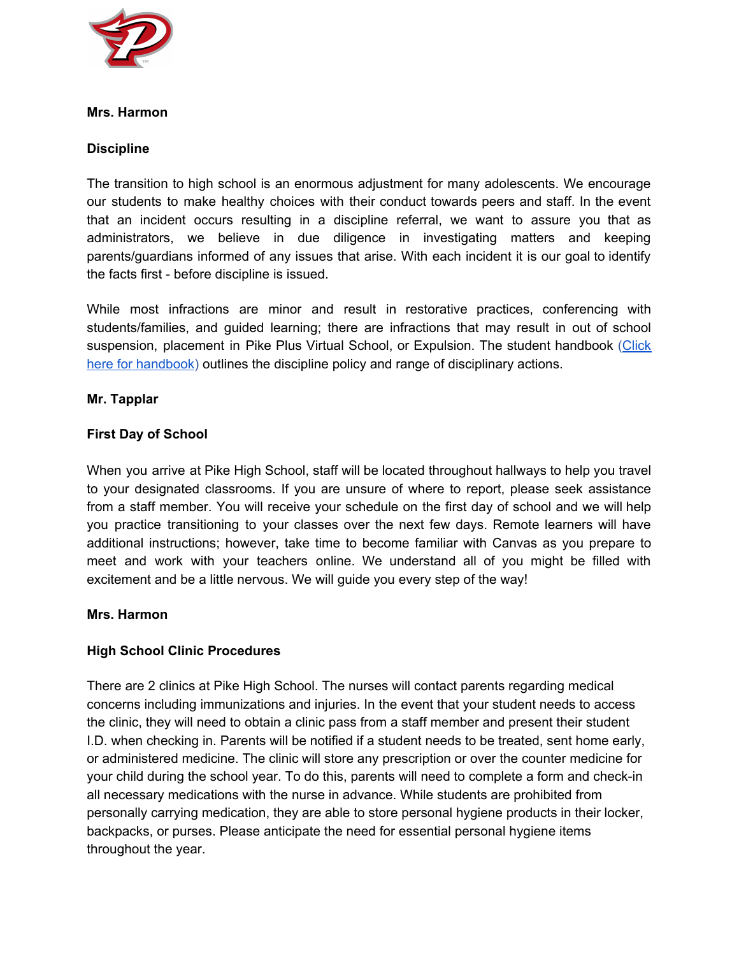

## **Mrs. Harmon**

# **Discipline**

The transition to high school is an enormous adjustment for many adolescents. We encourage our students to make healthy choices with their conduct towards peers and staff. In the event that an incident occurs resulting in a discipline referral, we want to assure you that as administrators, we believe in due diligence in investigating matters and keeping parents/guardians informed of any issues that arise. With each incident it is our goal to identify the facts first - before discipline is issued.

While most infractions are minor and result in restorative practices, conferencing with students/families, and guided learning; there are infractions that may result in out of school suspension, placement in Pike Plus Virtual School, or Expulsion. The student handbook ([Click](https://www.pike.k12.in.us/docs/district/pike%20high%20school%202019-2020%20student%20handbook.pdf?id=8637) here for [handbook](https://www.pike.k12.in.us/docs/district/pike%20high%20school%202019-2020%20student%20handbook.pdf?id=8637)) outlines the discipline policy and range of disciplinary actions.

## **Mr. Tapplar**

# **First Day of School**

When you arrive at Pike High School, staff will be located throughout hallways to help you travel to your designated classrooms. If you are unsure of where to report, please seek assistance from a staff member. You will receive your schedule on the first day of school and we will help you practice transitioning to your classes over the next few days. Remote learners will have additional instructions; however, take time to become familiar with Canvas as you prepare to meet and work with your teachers online. We understand all of you might be filled with excitement and be a little nervous. We will guide you every step of the way!

## **Mrs. Harmon**

## **High School Clinic Procedures**

There are 2 clinics at Pike High School. The nurses will contact parents regarding medical concerns including immunizations and injuries. In the event that your student needs to access the clinic, they will need to obtain a clinic pass from a staff member and present their student I.D. when checking in. Parents will be notified if a student needs to be treated, sent home early, or administered medicine. The clinic will store any prescription or over the counter medicine for your child during the school year. To do this, parents will need to complete a form and check-in all necessary medications with the nurse in advance. While students are prohibited from personally carrying medication, they are able to store personal hygiene products in their locker, backpacks, or purses. Please anticipate the need for essential personal hygiene items throughout the year.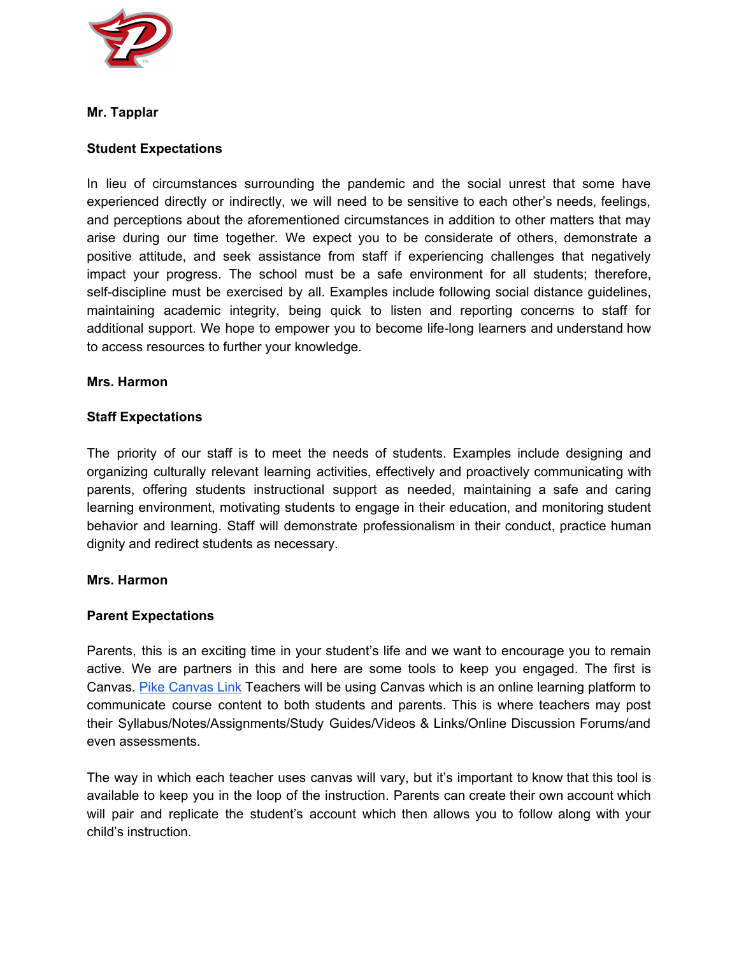

# **Mr. Tapplar**

# **Student Expectations**

In lieu of circumstances surrounding the pandemic and the social unrest that some have experienced directly or indirectly, we will need to be sensitive to each other's needs, feelings, and perceptions about the aforementioned circumstances in addition to other matters that may arise during our time together. We expect you to be considerate of others, demonstrate a positive attitude, and seek assistance from staff if experiencing challenges that negatively impact your progress. The school must be a safe environment for all students; therefore, self-discipline must be exercised by all. Examples include following social distance guidelines, maintaining academic integrity, being quick to listen and reporting concerns to staff for additional support. We hope to empower you to become life-long learners and understand how to access resources to further your knowledge.

#### **Mrs. Harmon**

#### **Staff Expectations**

The priority of our staff is to meet the needs of students. Examples include designing and organizing culturally relevant learning activities, effectively and proactively communicating with parents, offering students instructional support as needed, maintaining a safe and caring learning environment, motivating students to engage in their education, and monitoring student behavior and learning. Staff will demonstrate professionalism in their conduct, practice human dignity and redirect students as necessary.

#### **Mrs. Harmon**

## **Parent Expectations**

Parents, this is an exciting time in your student's life and we want to encourage you to remain active. We are partners in this and here are some tools to keep you engaged. The first is Canvas. Pike [Canvas](https://pike.instructure.com/login/ldap) Link Teachers will be using Canvas which is an online learning platform to communicate course content to both students and parents. This is where teachers may post their Syllabus/Notes/Assignments/Study Guides/Videos & Links/Online Discussion Forums/and even assessments.

The way in which each teacher uses canvas will vary, but it's important to know that this tool is available to keep you in the loop of the instruction. Parents can create their own account which will pair and replicate the student's account which then allows you to follow along with your child's instruction.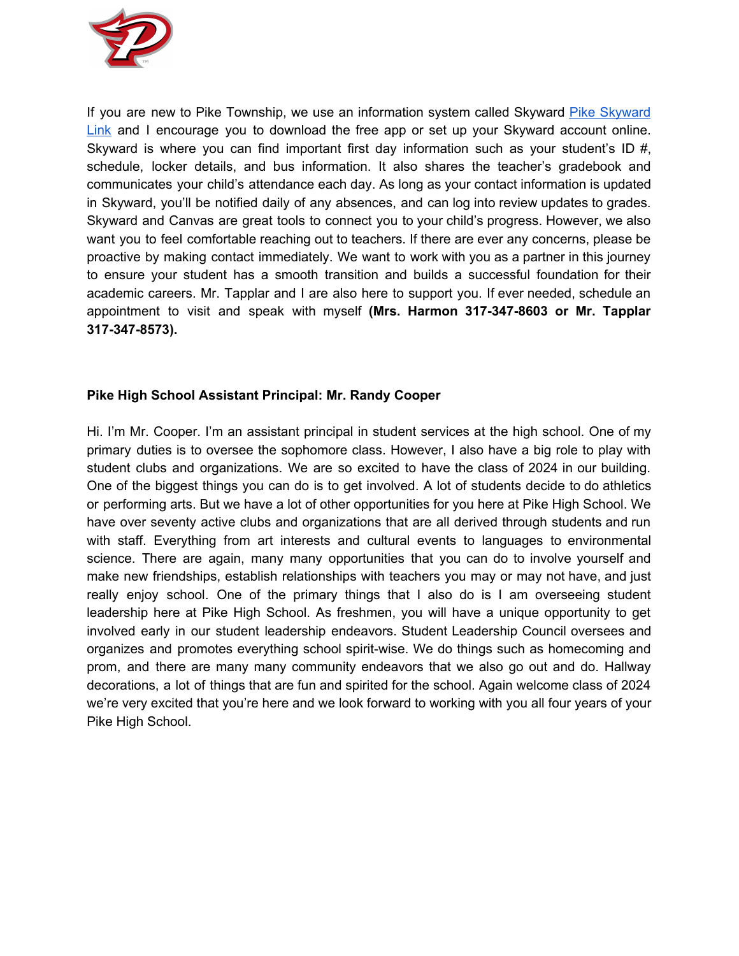

If you are new to Pike Township, we use an information system called [Skyward](https://skyward.pike.k12.in.us/scripts/wsisa.dll/WService=wsEAplus/seplog01.w) Pike Skyward [Link](https://skyward.pike.k12.in.us/scripts/wsisa.dll/WService=wsEAplus/seplog01.w) and I encourage you to download the free app or set up your Skyward account online. Skyward is where you can find important first day information such as your student's ID  $#$ , schedule, locker details, and bus information. It also shares the teacher's gradebook and communicates your child's attendance each day. As long as your contact information is updated in Skyward, you'll be notified daily of any absences, and can log into review updates to grades. Skyward and Canvas are great tools to connect you to your child's progress. However, we also want you to feel comfortable reaching out to teachers. If there are ever any concerns, please be proactive by making contact immediately. We want to work with you as a partner in this journey to ensure your student has a smooth transition and builds a successful foundation for their academic careers. Mr. Tapplar and I are also here to support you. If ever needed, schedule an appointment to visit and speak with myself **(Mrs. Harmon 317-347-8603 or Mr. Tapplar 317-347-8573).**

# **Pike High School Assistant Principal: Mr. Randy Cooper**

Hi. I'm Mr. Cooper. I'm an assistant principal in student services at the high school. One of my primary duties is to oversee the sophomore class. However, I also have a big role to play with student clubs and organizations. We are so excited to have the class of 2024 in our building. One of the biggest things you can do is to get involved. A lot of students decide to do athletics or performing arts. But we have a lot of other opportunities for you here at Pike High School. We have over seventy active clubs and organizations that are all derived through students and run with staff. Everything from art interests and cultural events to languages to environmental science. There are again, many many opportunities that you can do to involve yourself and make new friendships, establish relationships with teachers you may or may not have, and just really enjoy school. One of the primary things that I also do is I am overseeing student leadership here at Pike High School. As freshmen, you will have a unique opportunity to get involved early in our student leadership endeavors. Student Leadership Council oversees and organizes and promotes everything school spirit-wise. We do things such as homecoming and prom, and there are many many community endeavors that we also go out and do. Hallway decorations, a lot of things that are fun and spirited for the school. Again welcome class of 2024 we're very excited that you're here and we look forward to working with you all four years of your Pike High School.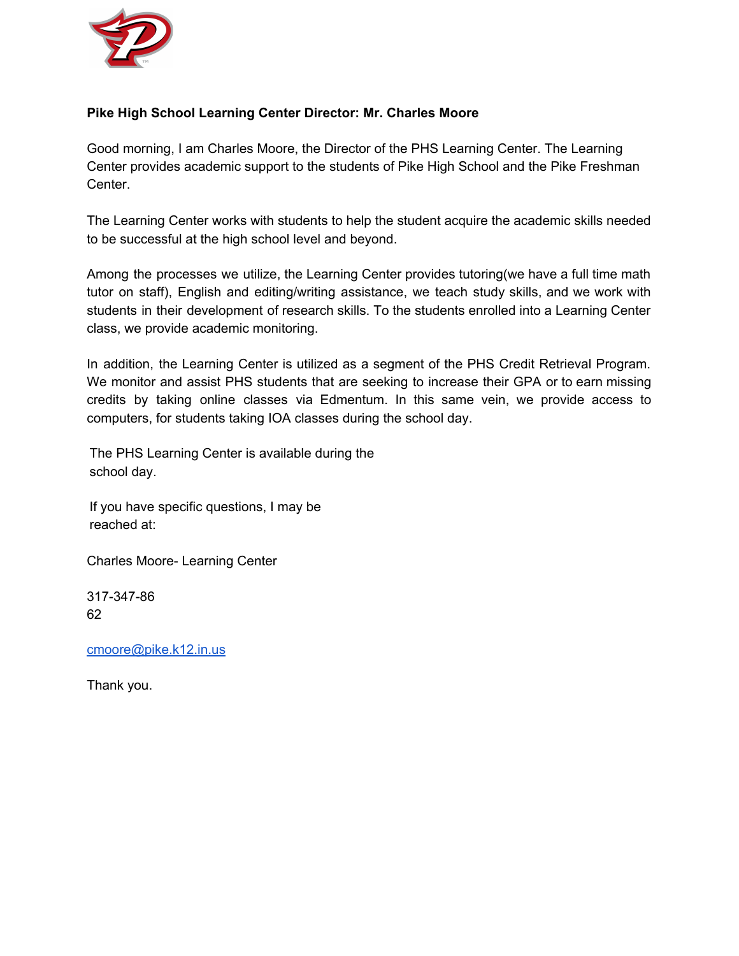

# **Pike High School Learning Center Director: Mr. Charles Moore**

Good morning, I am Charles Moore, the Director of the PHS Learning Center. The Learning Center provides academic support to the students of Pike High School and the Pike Freshman Center.

The Learning Center works with students to help the student acquire the academic skills needed to be successful at the high school level and beyond.

Among the processes we utilize, the Learning Center provides tutoring(we have a full time math tutor on staff), English and editing/writing assistance, we teach study skills, and we work with students in their development of research skills. To the students enrolled into a Learning Center class, we provide academic monitoring.

In addition, the Learning Center is utilized as a segment of the PHS Credit Retrieval Program. We monitor and assist PHS students that are seeking to increase their GPA or to earn missing credits by taking online classes via Edmentum. In this same vein, we provide access to computers, for students taking IOA classes during the school day.

The PHS Learning Center is available during the school day.

If you have specific questions, I may be reached at:

Charles Moore- Learning Center

317-347-86 62

[cmoore@pike.k12.in.us](mailto:cmoore@pike.k12.in.us)

Thank you.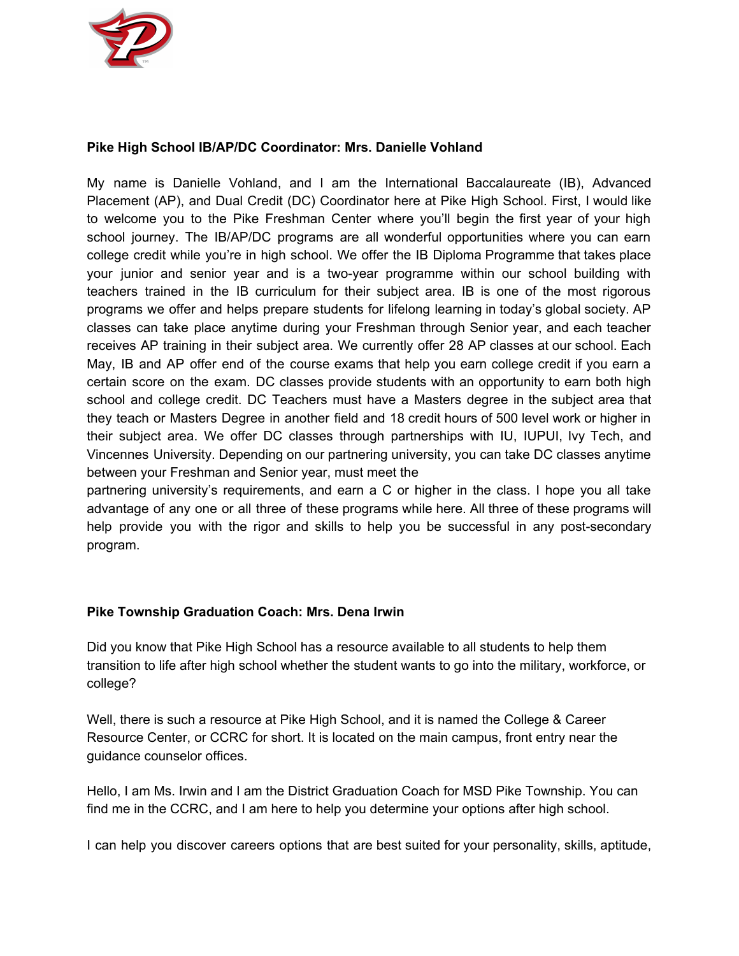

# **Pike High School IB/AP/DC Coordinator: Mrs. Danielle Vohland**

My name is Danielle Vohland, and I am the International Baccalaureate (IB), Advanced Placement (AP), and Dual Credit (DC) Coordinator here at Pike High School. First, I would like to welcome you to the Pike Freshman Center where you'll begin the first year of your high school journey. The IB/AP/DC programs are all wonderful opportunities where you can earn college credit while you're in high school. We offer the IB Diploma Programme that takes place your junior and senior year and is a two-year programme within our school building with teachers trained in the IB curriculum for their subject area. IB is one of the most rigorous programs we offer and helps prepare students for lifelong learning in today's global society. AP classes can take place anytime during your Freshman through Senior year, and each teacher receives AP training in their subject area. We currently offer 28 AP classes at our school. Each May, IB and AP offer end of the course exams that help you earn college credit if you earn a certain score on the exam. DC classes provide students with an opportunity to earn both high school and college credit. DC Teachers must have a Masters degree in the subject area that they teach or Masters Degree in another field and 18 credit hours of 500 level work or higher in their subject area. We offer DC classes through partnerships with IU, IUPUI, Ivy Tech, and Vincennes University. Depending on our partnering university, you can take DC classes anytime between your Freshman and Senior year, must meet the

partnering university's requirements, and earn a C or higher in the class. I hope you all take advantage of any one or all three of these programs while here. All three of these programs will help provide you with the rigor and skills to help you be successful in any post-secondary program.

# **Pike Township Graduation Coach: Mrs. Dena Irwin**

Did you know that Pike High School has a resource available to all students to help them transition to life after high school whether the student wants to go into the military, workforce, or college?

Well, there is such a resource at Pike High School, and it is named the College & Career Resource Center, or CCRC for short. It is located on the main campus, front entry near the guidance counselor offices.

Hello, I am Ms. Irwin and I am the District Graduation Coach for MSD Pike Township. You can find me in the CCRC, and I am here to help you determine your options after high school.

I can help you discover careers options that are best suited for your personality, skills, aptitude,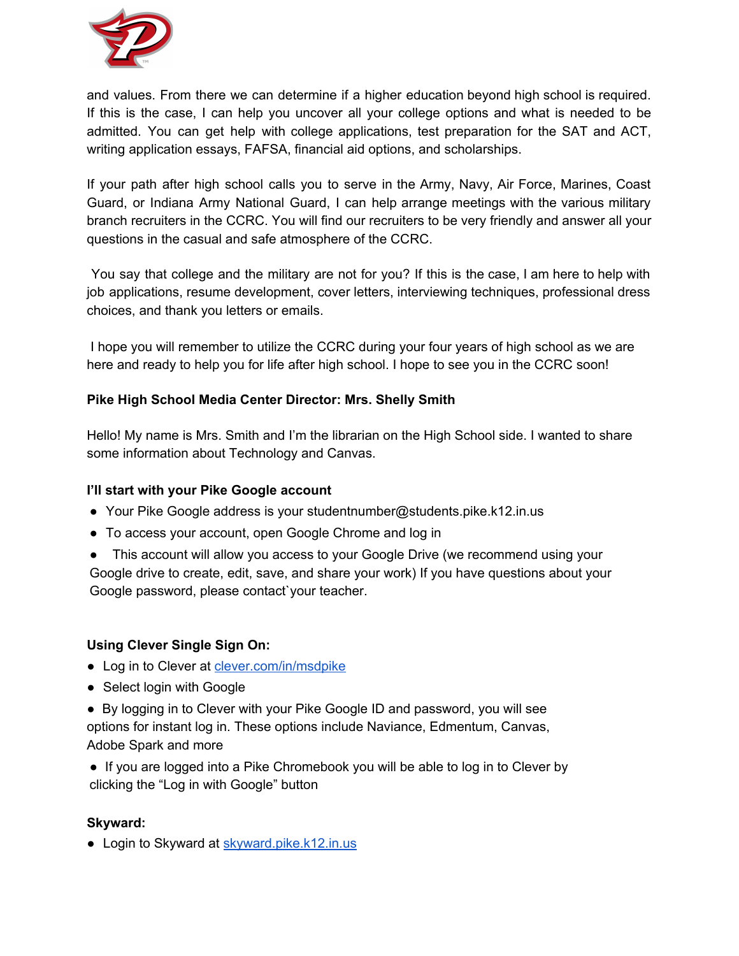

and values. From there we can determine if a higher education beyond high school is required. If this is the case, I can help you uncover all your college options and what is needed to be admitted. You can get help with college applications, test preparation for the SAT and ACT, writing application essays, FAFSA, financial aid options, and scholarships.

If your path after high school calls you to serve in the Army, Navy, Air Force, Marines, Coast Guard, or Indiana Army National Guard, I can help arrange meetings with the various military branch recruiters in the CCRC. You will find our recruiters to be very friendly and answer all your questions in the casual and safe atmosphere of the CCRC.

You say that college and the military are not for you? If this is the case, I am here to help with job applications, resume development, cover letters, interviewing techniques, professional dress choices, and thank you letters or emails.

I hope you will remember to utilize the CCRC during your four years of high school as we are here and ready to help you for life after high school. I hope to see you in the CCRC soon!

# **Pike High School Media Center Director: Mrs. Shelly Smith**

Hello! My name is Mrs. Smith and I'm the librarian on the High School side. I wanted to share some information about Technology and Canvas.

# **I'll start with your Pike Google account**

- Your Pike Google address is your studentnumber@students.pike.k12.in.us
- To access your account, open Google Chrome and log in
- This account will allow you access to your Google Drive (we recommend using your Google drive to create, edit, save, and share your work) If you have questions about your Google password, please contact`your teacher.

# **Using Clever Single Sign On:**

- Log in to Clever at [clever.com/in/msdpike](https://clever.com/oauth/authorize?channel=clever&client_id=4c63c1cf623dce82caac&confirmed=true&district_id=522f564cb3054ba639000013&redirect_uri=https%3A%2F%2Fclever.com%2Fin%2Fauth_callback&response_type=code&state=023a7709a42f9e9855f496e98ad07ebf6723e6509076b75852a32f4a700d71a9)
- Select login with Google
- By logging in to Clever with your Pike Google ID and password, you will see options for instant log in. These options include Naviance, Edmentum, Canvas, Adobe Spark and more
- If you are logged into a Pike Chromebook you will be able to log in to Clever by clicking the "Log in with Google" button

# **Skyward:**

● Login to Skyward at [skyward.pike.k12.in.us](https://skyward.pike.k12.in.us/scripts/wsisa.dll/WService=wsEAplus/seplog01.w)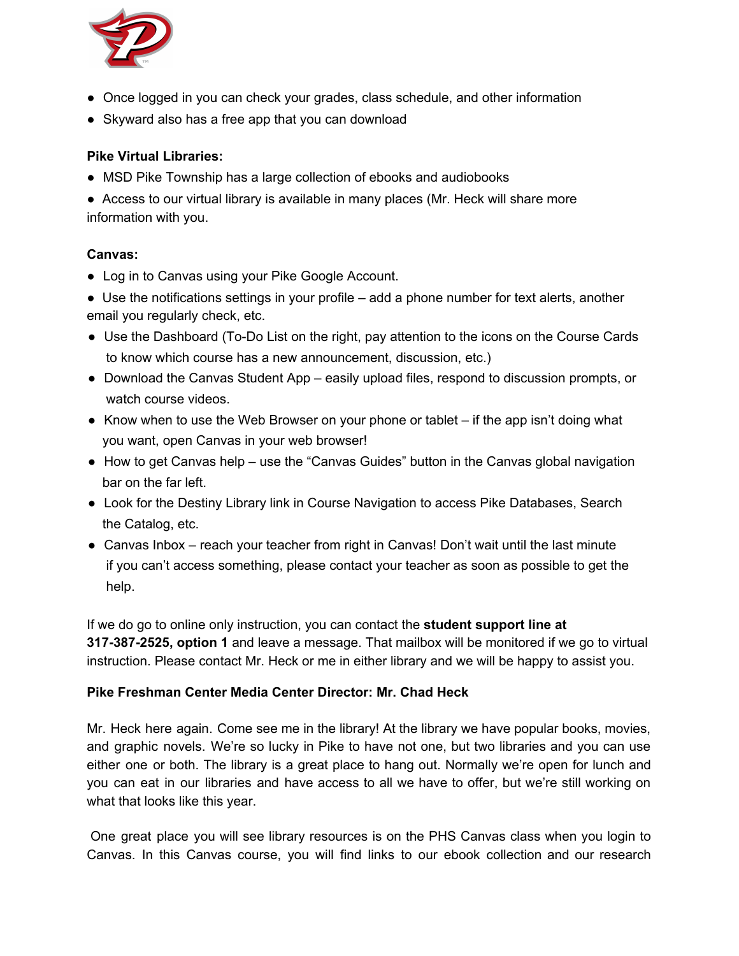

- Once logged in you can check your grades, class schedule, and other information
- Skyward also has a free app that you can download

# **Pike Virtual Libraries:**

• MSD Pike Township has a large collection of ebooks and audiobooks

● Access to our virtual library is available in many places (Mr. Heck will share more information with you.

# **Canvas:**

• Log in to Canvas using your Pike Google Account.

● Use the notifications settings in your profile – add a phone number for text alerts, another email you regularly check, etc.

- Use the Dashboard (To-Do List on the right, pay attention to the icons on the Course Cards to know which course has a new announcement, discussion, etc.)
- Download the Canvas Student App easily upload files, respond to discussion prompts, or watch course videos.
- $\bullet$  Know when to use the Web Browser on your phone or tablet if the app isn't doing what you want, open Canvas in your web browser!
- How to get Canvas help use the "Canvas Guides" button in the Canvas global navigation bar on the far left.
- Look for the Destiny Library link in Course Navigation to access Pike Databases, Search the Catalog, etc.
- Canvas Inbox reach your teacher from right in Canvas! Don't wait until the last minute if you can't access something, please contact your teacher as soon as possible to get the help.

If we do go to online only instruction, you can contact the **student support line at 317-387-2525, option 1** and leave a message. That mailbox will be monitored if we go to virtual instruction. Please contact Mr. Heck or me in either library and we will be happy to assist you.

# **Pike Freshman Center Media Center Director: Mr. Chad Heck**

Mr. Heck here again. Come see me in the library! At the library we have popular books, movies, and graphic novels. We're so lucky in Pike to have not one, but two libraries and you can use either one or both. The library is a great place to hang out. Normally we're open for lunch and you can eat in our libraries and have access to all we have to offer, but we're still working on what that looks like this year.

One great place you will see library resources is on the PHS Canvas class when you login to Canvas. In this Canvas course, you will find links to our ebook collection and our research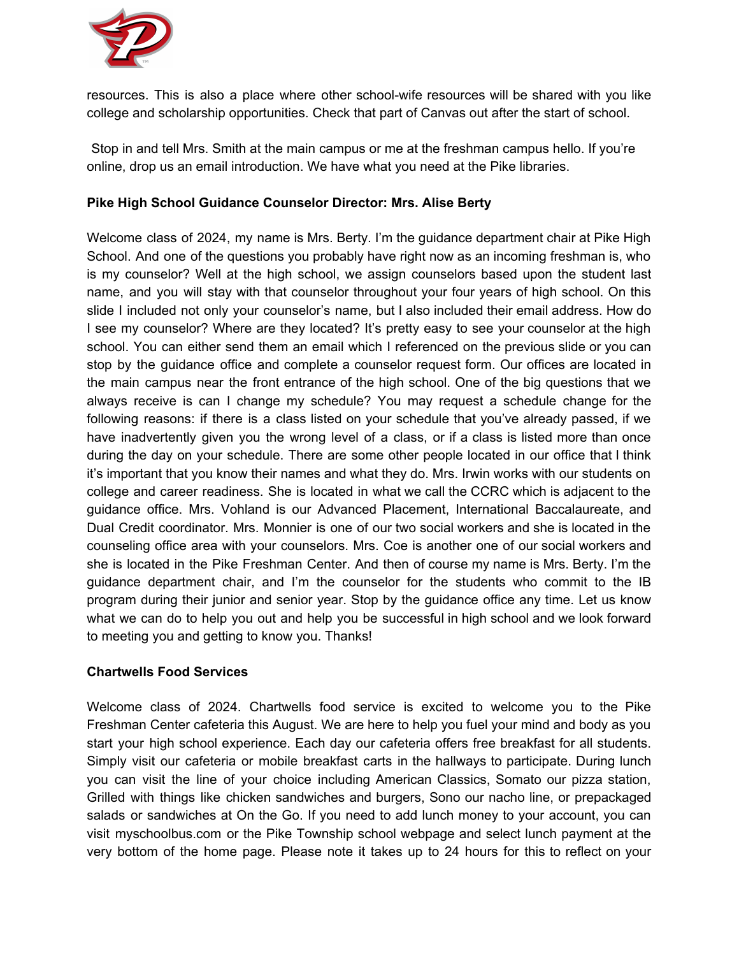

resources. This is also a place where other school-wife resources will be shared with you like college and scholarship opportunities. Check that part of Canvas out after the start of school.

Stop in and tell Mrs. Smith at the main campus or me at the freshman campus hello. If you're online, drop us an email introduction. We have what you need at the Pike libraries.

# **Pike High School Guidance Counselor Director: Mrs. Alise Berty**

Welcome class of 2024, my name is Mrs. Berty. I'm the guidance department chair at Pike High School. And one of the questions you probably have right now as an incoming freshman is, who is my counselor? Well at the high school, we assign counselors based upon the student last name, and you will stay with that counselor throughout your four years of high school. On this slide I included not only your counselor's name, but I also included their email address. How do I see my counselor? Where are they located? It's pretty easy to see your counselor at the high school. You can either send them an email which I referenced on the previous slide or you can stop by the guidance office and complete a counselor request form. Our offices are located in the main campus near the front entrance of the high school. One of the big questions that we always receive is can I change my schedule? You may request a schedule change for the following reasons: if there is a class listed on your schedule that you've already passed, if we have inadvertently given you the wrong level of a class, or if a class is listed more than once during the day on your schedule. There are some other people located in our office that I think it's important that you know their names and what they do. Mrs. Irwin works with our students on college and career readiness. She is located in what we call the CCRC which is adjacent to the guidance office. Mrs. Vohland is our Advanced Placement, International Baccalaureate, and Dual Credit coordinator. Mrs. Monnier is one of our two social workers and she is located in the counseling office area with your counselors. Mrs. Coe is another one of our social workers and she is located in the Pike Freshman Center. And then of course my name is Mrs. Berty. I'm the guidance department chair, and I'm the counselor for the students who commit to the IB program during their junior and senior year. Stop by the guidance office any time. Let us know what we can do to help you out and help you be successful in high school and we look forward to meeting you and getting to know you. Thanks!

## **Chartwells Food Services**

Welcome class of 2024. Chartwells food service is excited to welcome you to the Pike Freshman Center cafeteria this August. We are here to help you fuel your mind and body as you start your high school experience. Each day our cafeteria offers free breakfast for all students. Simply visit our cafeteria or mobile breakfast carts in the hallways to participate. During lunch you can visit the line of your choice including American Classics, Somato our pizza station, Grilled with things like chicken sandwiches and burgers, Sono our nacho line, or prepackaged salads or sandwiches at On the Go. If you need to add lunch money to your account, you can visit myschoolbus.com or the Pike Township school webpage and select lunch payment at the very bottom of the home page. Please note it takes up to 24 hours for this to reflect on your